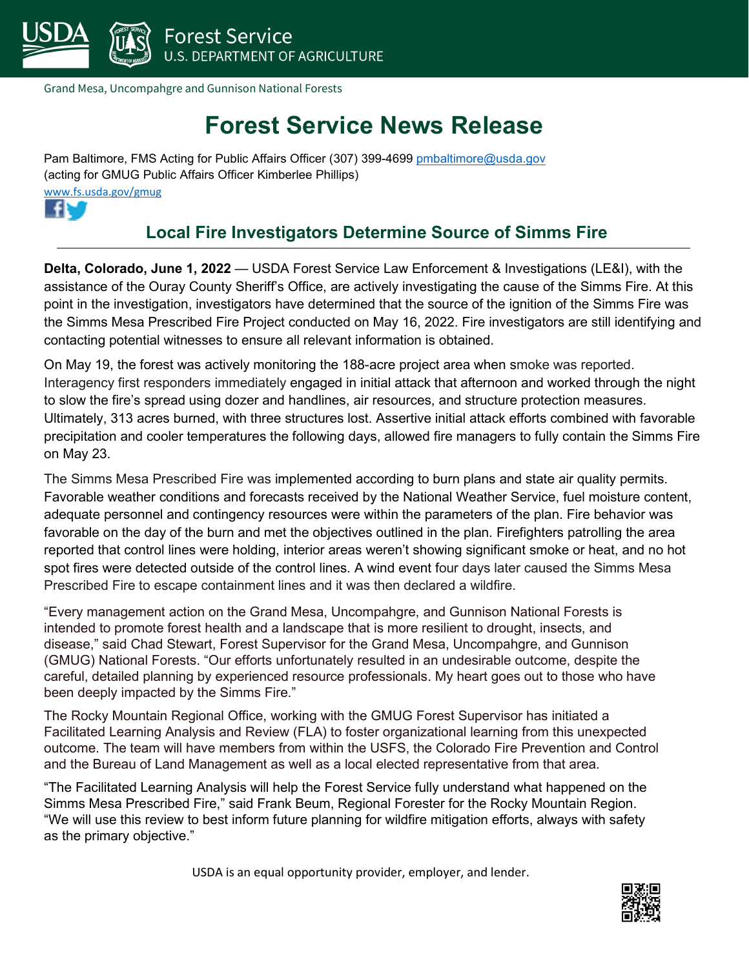

Grand Mesa, Uncompahgre and Gunnison National Forests

## **Forest Service News Release**

Pam Baltimore, FMS Acting for Public Affairs Officer (307) 399-4699 pmbaltimore@usda.gov (acting for GMUG Public Affairs Officer Kimberlee Phillips) [www.fs.usda.gov/gmug](http://www.fs.usda.gov/gmug) 



## **Local Fire Investigators Determine Source of Simms Fire**

**Delta, Colorado, June 1, 2022** — USDA Forest Service Law Enforcement & Investigations (LE&I), with the assistance of the Ouray County Sheriff's Office, are actively investigating the cause of the Simms Fire. At this point in the investigation, investigators have determined that the source of the ignition of the Simms Fire was the Simms Mesa Prescribed Fire Project conducted on May 16, 2022. Fire investigators are still identifying and contacting potential witnesses to ensure all relevant information is obtained.

On May 19, the forest was actively monitoring the 188-acre project area when smoke was reported. Interagency first responders immediately engaged in initial attack that afternoon and worked through the night to slow the fire's spread using dozer and handlines, air resources, and structure protection measures. Ultimately, 313 acres burned, with three structures lost. Assertive initial attack efforts combined with favorable precipitation and cooler temperatures the following days, allowed fire managers to fully contain the Simms Fire on May 23.

The Simms Mesa Prescribed Fire was implemented according to burn plans and state air quality permits. Favorable weather conditions and forecasts received by the National Weather Service, fuel moisture content, adequate personnel and contingency resources were within the parameters of the plan. Fire behavior was favorable on the day of the burn and met the objectives outlined in the plan. Firefighters patrolling the area reported that control lines were holding, interior areas weren't showing significant smoke or heat, and no hot spot fires were detected outside of the control lines. A wind event four days later caused the Simms Mesa Prescribed Fire to escape containment lines and it was then declared a wildfire.

"Every management action on the Grand Mesa, Uncompahgre, and Gunnison National Forests is intended to promote forest health and a landscape that is more resilient to drought, insects, and disease," said Chad Stewart, Forest Supervisor for the Grand Mesa, Uncompahgre, and Gunnison (GMUG) National Forests. "Our efforts unfortunately resulted in an undesirable outcome, despite the careful, detailed planning by experienced resource professionals. My heart goes out to those who have been deeply impacted by the Simms Fire."

The Rocky Mountain Regional Office, working with the GMUG Forest Supervisor has initiated a Facilitated Learning Analysis and Review (FLA) to foster organizational learning from this unexpected outcome. The team will have members from within the USFS, the Colorado Fire Prevention and Control and the Bureau of Land Management as well as a local elected representative from that area.

"The Facilitated Learning Analysis will help the Forest Service fully understand what happened on the Simms Mesa Prescribed Fire," said Frank Beum, Regional Forester for the Rocky Mountain Region. "We will use this review to best inform future planning for wildfire mitigation efforts, always with safety as the primary objective."

USDA is an equal opportunity provider, employer, and lender.